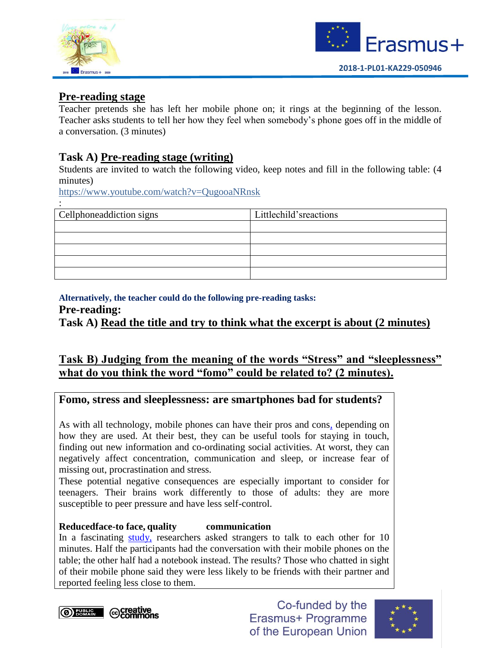



## **Pre-reading stage**

Teacher pretends she has left her mobile phone on; it rings at the beginning of the lesson. Teacher asks students to tell her how they feel when somebody's phone goes off in the middle of a conversation. (3 minutes)

## **Task A) Pre-reading stage (writing)**

Students are invited to watch the following video, keep notes and fill in the following table: (4 minutes)

<https://www.youtube.com/watch?v=QugooaNRnsk>

| Cellphoneaddiction signs | Littlechild'sreactions |
|--------------------------|------------------------|
|                          |                        |
|                          |                        |
|                          |                        |
|                          |                        |
|                          |                        |

#### **Alternatively, the teacher could do the following pre-reading tasks:**

**Pre-reading:**

:

**Task A) Read the title and try to think what the excerpt is about (2 minutes)**

## **Task B) Judging from the meaning of the words "Stress" and "sleeplessness" what do you think the word "fomo" could be related to? (2 minutes).**

## **Fomo, stress and sleeplessness: are smartphones bad for students?**

As with all technology, mobile phones can have their pros and cons, depending on how they are used. At their best, they can be useful tools for staying in touch, finding out new information and co-ordinating social activities. At worst, they can negatively affect concentration, communication and sleep, or increase fear of missing out, procrastination and stress.

These potential negative consequences are especially important to consider for teenagers. Their brains work differently to those of adults: they are more susceptible to peer pressure and have less self-control.

#### **Reducedface-to face, quality communication**

In a fascinating [study,](http://digest.bps.org.uk/2012/09/how-mere-presence-of-mobile-phone.html?m=1) researchers asked strangers to talk to each other for 10 minutes. Half the participants had the conversation with their mobile phones on the table; the other half had a notebook instead. The results? Those who chatted in sight of their mobile phone said they were less likely to be friends with their partner and reported feeling less close to them.

*<b>OBBERG* © Commons

Co-funded by the Erasmus+ Programme of the European Union

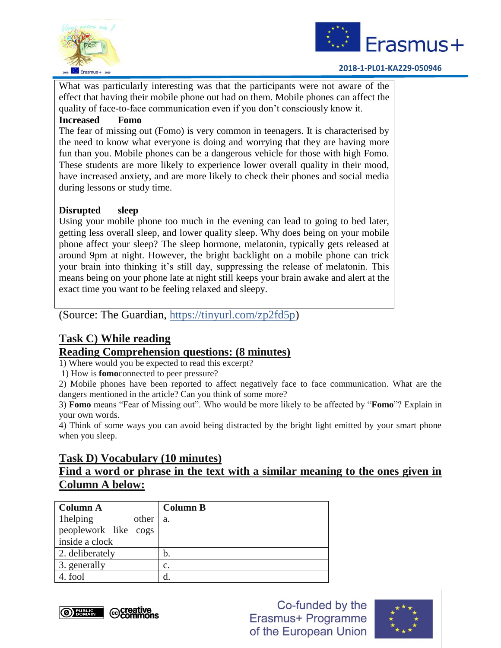



#### **2018-1-PL01-KA229-050946**

What was particularly interesting was that the participants were not aware of the effect that having their mobile phone out had on them. Mobile phones can affect the quality of face-to-face communication even if you don't consciously know it.

#### **Increased Fomo**

The fear of missing out (Fomo) is very common in teenagers. It is characterised by the need to know what everyone is doing and worrying that they are having more fun than you. Mobile phones can be a dangerous vehicle for those with high Fomo. These students are more likely to experience lower overall quality in their mood, have increased anxiety, and are more likely to check their phones and social media during lessons or study time.

#### **Disrupted sleep**

Using your mobile phone too much in the evening can lead to going to bed later, getting less overall sleep, and lower quality sleep. Why does being on your mobile phone affect your sleep? The sleep hormone, melatonin, typically gets released at around 9pm at night. However, the bright backlight on a mobile phone can trick your brain into thinking it's still day, suppressing the release of melatonin. This means being on your phone late at night still keeps your brain awake and alert at the exact time you want to be feeling relaxed and sleepy.

(Source: The Guardian, https://tinyurl.com/zp2fd5p)

# **Task C) While reading**

## **Reading Comprehension questions: (8 minutes)**

1) Where would you be expected to read this excerpt?

1) How is **fomo**connected to peer pressure?

2) Mobile phones have been reported to affect negatively face to face communication. What are the dangers mentioned in the article? Can you think of some more?

3) **Fomo** means "Fear of Missing out". Who would be more likely to be affected by "**Fomo**"? Explain in your own words.

4) Think of some ways you can avoid being distracted by the bright light emitted by your smart phone when you sleep.

## **Task D) Vocabulary (10 minutes)**

## Find a word or phrase in the <u>text with a similar meaning to the ones given in</u> **Column A below:**

| <b>Column A</b>      | <b>Column B</b> |
|----------------------|-----------------|
| 1helping<br>other    | a.              |
| peoplework like cogs |                 |
| inside a clock       |                 |
| 2. deliberately      | b.              |
| 3. generally         | $\mathbf{c}$ .  |
| 4. fool              | d               |



Co-funded by the Erasmus+ Programme of the European Union